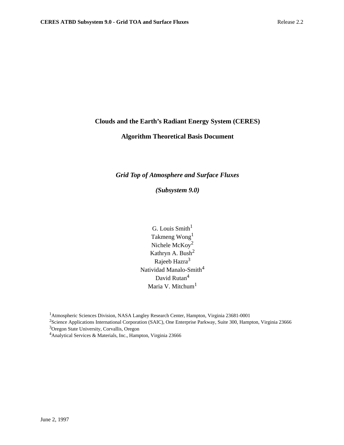### **Clouds and the Earth's Radiant Energy System (CERES)**

# **Algorithm Theoretical Basis Document**

### *Grid Top of Atmosphere and Surface Fluxes*

*(Subsystem 9.0)*

G. Louis  $Smith<sup>1</sup>$ Takmeng Wong1 Nichele McKoy2 Kathryn A. Bush<sup>2</sup> Rajeeb Hazra<sup>3</sup> Natividad Manalo-Smith<sup>4</sup> David Rutan<sup>4</sup> Maria V. Mitchum<sup>1</sup>

<sup>1</sup> Atmospheric Sciences Division, NASA Langley Research Center, Hampton, Virginia 23681-0001

<sup>2</sup>Science Applications International Corporation (SAIC), One Enterprise Parkway, Suite 300, Hampton, Virginia 23666 <sup>3</sup> Oregon State University, Corvallis, Oregon

4Analytical Services & Materials, Inc., Hampton, Virginia 23666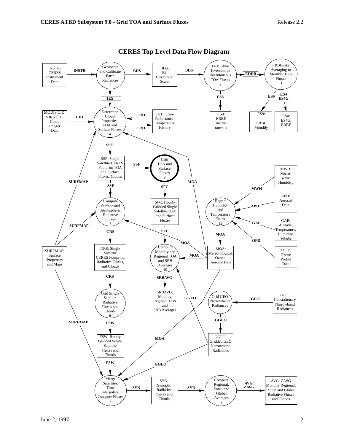

**CERES Top Level Data Flow Diagram**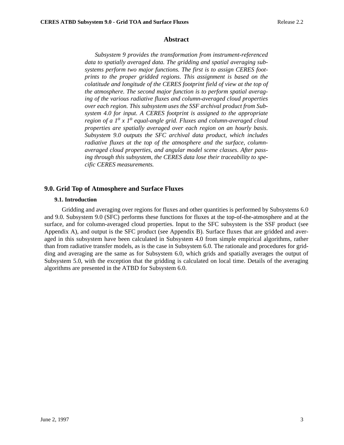#### **Abstract**

*Subsystem 9 provides the transformation from instrument-referenced data to spatially averaged data. The gridding and spatial averaging subsystems perform two major functions. The first is to assign CERES footprints to the proper gridded regions. This assignment is based on the colatitude and longitude of the CERES footprint field of view at the top of the atmosphere. The second major function is to perform spatial averaging of the various radiative fluxes and column-averaged cloud properties over each region. This subsystem uses the SSF archival product from Subsystem 4.0 for input. A CERES footprint is assigned to the appropriate region of a 1<sup>o</sup> x 1<sup>o</sup> equal-angle grid. Fluxes and column-averaged cloud properties are spatially averaged over each region on an hourly basis. Subsystem 9.0 outputs the SFC archival data product, which includes radiative fluxes at the top of the atmosphere and the surface, columnaveraged cloud properties, and angular model scene classes. After passing through this subsystem, the CERES data lose their traceability to specific CERES measurements.*

#### **9.0. Grid Top of Atmosphere and Surface Fluxes**

#### **9.1. Introduction**

 Gridding and averaging over regions for fluxes and other quantities is performed by Subsystems 6.0 and 9.0. Subsystem 9.0 (SFC) performs these functions for fluxes at the top-of-the-atmosphere and at the surface, and for column-averaged cloud properties. Input to the SFC subsystem is the SSF product (see Appendix A), and output is the SFC product (see Appendix B). Surface fluxes that are gridded and averaged in this subsystem have been calculated in Subsystem 4.0 from simple empirical algorithms, rather than from radiative transfer models, as is the case in Subsystem 6.0. The rationale and procedures for gridding and averaging are the same as for Subsystem 6.0, which grids and spatially averages the output of Subsystem 5.0, with the exception that the gridding is calculated on local time. Details of the averaging algorithms are presented in the ATBD for Subsystem 6.0.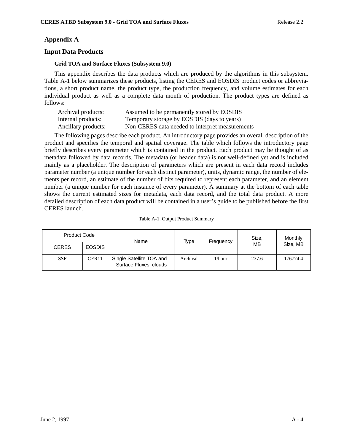# **Appendix A**

## **Input Data Products**

#### **Grid TOA and Surface Fluxes (Subsystem 9.0)**

This appendix describes the data products which are produced by the algorithms in this subsystem. Table A-1 below summarizes these products, listing the CERES and EOSDIS product codes or abbreviations, a short product name, the product type, the production frequency, and volume estimates for each individual product as well as a complete data month of production. The product types are defined as follows:

| Archival products:  | Assumed to be permanently stored by EOSDIS      |
|---------------------|-------------------------------------------------|
| Internal products:  | Temporary storage by EOSDIS (days to years)     |
| Ancillary products: | Non-CERES data needed to interpret measurements |

The following pages describe each product. An introductory page provides an overall description of the product and specifies the temporal and spatial coverage. The table which follows the introductory page briefly describes every parameter which is contained in the product. Each product may be thought of as metadata followed by data records. The metadata (or header data) is not well-defined yet and is included mainly as a placeholder. The description of parameters which are present in each data record includes parameter number (a unique number for each distinct parameter), units, dynamic range, the number of elements per record, an estimate of the number of bits required to represent each parameter, and an element number (a unique number for each instance of every parameter). A summary at the bottom of each table shows the current estimated sizes for metadata, each data record, and the total data product. A more detailed description of each data product will be contained in a user's guide to be published before the first CERES launch.

| Table A-1. Output Product Summary |  |
|-----------------------------------|--|
|-----------------------------------|--|

| <b>Product Code</b> |               | Name                                               | Type     | Frequency | Size, | Monthly  |
|---------------------|---------------|----------------------------------------------------|----------|-----------|-------|----------|
| <b>CERES</b>        | <b>EOSDIS</b> |                                                    |          |           | MВ    | Size, MB |
| <b>SSF</b>          | CER11         | Single Satellite TOA and<br>Surface Fluxes, clouds | Archival | $1/h$ our | 237.6 | 176774.4 |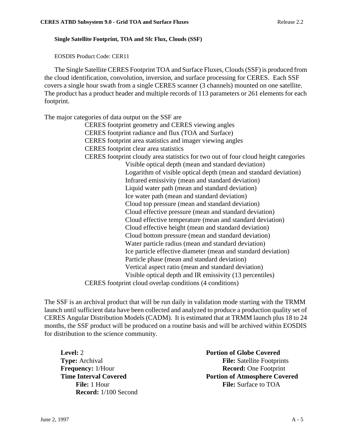### **Single Satellite Footprint, TOA and Sfc Flux, Clouds (SSF)**

EOSDIS Product Code: CER11

The Single Satellite CERES Footprint TOA and Surface Fluxes, Clouds (SSF) is produced from the cloud identification, convolution, inversion, and surface processing for CERES. Each SSF covers a single hour swath from a single CERES scanner (3 channels) mounted on one satellite. The product has a product header and multiple records of 113 parameters or 261 elements for each footprint.

The major categories of data output on the SSF are

CERES footprint geometry and CERES viewing angles CERES footprint radiance and flux (TOA and Surface) CERES footprint area statistics and imager viewing angles CERES footprint clear area statistics CERES footprint cloudy area statistics for two out of four cloud height categories Visible optical depth (mean and standard deviation) Logarithm of visible optical depth (mean and standard deviation) Infrared emissivity (mean and standard deviation) Liquid water path (mean and standard deviation) Ice water path (mean and standard deviation) Cloud top pressure (mean and standard deviation) Cloud effective pressure (mean and standard deviation) Cloud effective temperature (mean and standard deviation) Cloud effective height (mean and standard deviation) Cloud bottom pressure (mean and standard deviation) Water particle radius (mean and standard deviation) Ice particle effective diameter (mean and standard deviation) Particle phase (mean and standard deviation) Vertical aspect ratio (mean and standard deviation) Visible optical depth and IR emissivity (13 percentiles)

CERES footprint cloud overlap conditions (4 conditions)

The SSF is an archival product that will be run daily in validation mode starting with the TRMM launch until sufficient data have been collected and analyzed to produce a production quality set of CERES Angular Distribution Models (CADM). It is estimated that at TRMM launch plus 18 to 24 months, the SSF product will be produced on a routine basis and will be archived within EOSDIS for distribution to the science community.

**Record:** 1/100 Second

**Level:** 2 **Portion of Globe Covered Type:** Archival **File:** Satellite Footprints **Frequency:** 1/Hour **Record:** One Footprint **Time Interval Covered 2008 Portion of Atmosphere Covered File:** 1 Hour **File:** Surface to TOA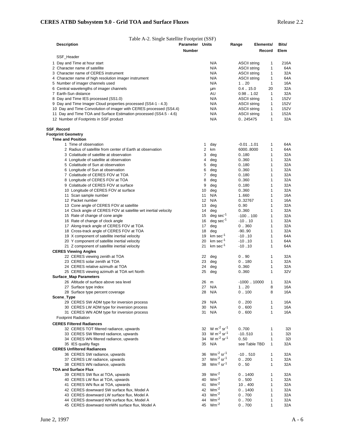| Table A-2. Single Satellite Footprint (SSF)                        |                        |    |                                       |                     |                               |                     |
|--------------------------------------------------------------------|------------------------|----|---------------------------------------|---------------------|-------------------------------|---------------------|
| <b>Description</b>                                                 | <b>Parameter Units</b> |    |                                       | Range               | Elements/                     | Bits/               |
|                                                                    | <b>Number</b>          |    |                                       |                     | Record                        | Elem                |
|                                                                    |                        |    |                                       |                     |                               |                     |
| SSF Header                                                         |                        |    |                                       |                     |                               |                     |
| 1 Day and Time at hour start                                       |                        |    | N/A                                   | <b>ASCII string</b> | 1                             | 216A                |
| 2 Character name of satellite                                      |                        |    | N/A                                   | <b>ASCII string</b> | 1                             | 64A                 |
| 3 Character name of CERES instrument                               |                        |    | N/A                                   | <b>ASCII string</b> | 1                             | 32A                 |
| 4 Character name of high resolution imager instrument              |                        |    | N/A                                   | <b>ASCII string</b> | 1                             | 64A                 |
| 5 Number of imager channels used                                   |                        |    | N/A                                   | 1.20                | 1                             | 16A                 |
| 6 Central wavelengths of imager channels                           |                        |    | μm                                    | $0.4-.15.0$         | 20                            | 32A                 |
| 7 Earth-Sun distance                                               |                        |    | AU                                    | 0.981.02            | 1                             | 32A                 |
| 8 Day and Time IES processed (SS1.0)                               |                        |    | N/A                                   | <b>ASCII string</b> | $\mathbf{1}$                  | 152V                |
|                                                                    |                        |    | N/A                                   | <b>ASCII string</b> | 1                             | 152V                |
| 9 Day and Time Imager Cloud properties processed (SS4-1 - 4.3)     |                        |    |                                       |                     |                               |                     |
| 10 Day and Time Convolution of imager with CERES processed (SS4.4) |                        |    | N/A                                   | <b>ASCII string</b> | 1                             | 152V                |
| 11 Day and Time TOA and Surface Estimation processed (SS4.5 - 4.6) |                        |    | N/A                                   | <b>ASCII string</b> | 1                             | 152A                |
| 12 Number of Footprints in SSF product                             |                        |    | N/A                                   | 0245475             | $\mathbf{1}$                  | 32A                 |
|                                                                    |                        |    |                                       |                     |                               |                     |
| SSF_Record                                                         |                        |    |                                       |                     |                               |                     |
| <b>Footprint Geometry</b>                                          |                        |    |                                       |                     |                               |                     |
| <b>Time and Position</b>                                           |                        |    |                                       |                     |                               |                     |
| 1 Time of observation                                              |                        | 1  | day                                   | $-0.011.01$         | 1                             | 64A                 |
| 2 Radius of satellite from center of Earth at observation          |                        | 2  | km                                    | 6000.8000           | 1                             | 64A                 |
| 3 Colatitude of satellite at observation                           |                        | 3  | deg                                   | 0.180               | 1                             | 32A                 |
| 4 Longitude of satellite at observation                            |                        | 4  | deg                                   | 0.360               | 1                             | 32A                 |
|                                                                    |                        |    |                                       |                     |                               |                     |
| 5 Colatitude of Sun at observation                                 |                        | 5  | deg                                   | 0.180               | 1                             | 32A                 |
| 6 Longitude of Sun at observation                                  |                        | 6  | deg                                   | 0.360               | 1                             | 32A                 |
| 7 Colatitude of CERES FOV at TOA                                   |                        | 7  | deg                                   | 0.180               | 1                             | 32A                 |
| 8 Longitude of CERES FOV at TOA                                    |                        | 8  | deg                                   | 0.360               | 1                             | 32A                 |
| 9 Colatitude of CERES FOV at surface                               |                        | 9  | deg                                   | 0.180               | 1                             | 32A                 |
| 10 Longitude of CERES FOV at surface                               |                        | 10 | deg                                   | 0.360               | 1                             | 32A                 |
| 11 Scan sample number                                              |                        | 11 | N/A                                   | 1.660               | 1                             | 16A                 |
| 12 Packet number                                                   |                        | 12 | N/A                                   | 0.32767             | 1                             | 16A                 |
|                                                                    |                        |    |                                       |                     | 1                             | 32A                 |
| 13 Cone angle of CERES FOV at satellite                            |                        | 13 | deg                                   | 0.90                |                               |                     |
| 14 Clock angle of CERES FOV at satellite wrt inertial velocity     |                        | 14 | deg                                   | 0.360               |                               | 1<br>32A            |
| 15 Rate of change of cone angle                                    |                        | 15 | $deg sec^{-1}$                        | $-100100$           | 1                             | 32A                 |
| 16 Rate of change of clock angle                                   |                        | 16 | $deg sec-1$                           | $-10.10$            |                               | $\mathbf{1}$<br>32A |
| 17 Along-track angle of CERES FOV at TOA                           |                        | 17 | deg                                   | 0.360               |                               | 1<br>32A            |
| 18 Cross-track angle of CERES FOV at TOA                           |                        | 18 | deg                                   | $-90.90$            |                               | $\mathbf{1}$<br>32A |
| 19 X component of satellite inertial velocity                      |                        | 19 | $km \sec^{-1}$                        | $-10.10$            |                               | 1<br>64A            |
| 20 Y component of satellite inertial velocity                      |                        | 20 | $km \sec^{-1}$                        | $-10.10$            |                               | $\mathbf{1}$<br>64A |
| 21 Z component of satellite inertial velocity                      |                        | 21 | $km \sec^{-1}$                        | $-10.10$            | 1                             | 64A                 |
|                                                                    |                        |    |                                       |                     |                               |                     |
| <b>CERES Viewing Angles</b>                                        |                        |    |                                       |                     |                               |                     |
| 22 CERES viewing zenith at TOA                                     |                        | 22 | deg                                   | 0.90                | 1                             | 32A                 |
| 23 CERES solar zenith at TOA                                       |                        | 23 | deg                                   | 0.180               | $\mathbf{1}$                  | 32A                 |
| 24 CERES relative azimuth at TOA                                   |                        | 24 | deg                                   | 0.360               | 1                             | 32A                 |
| 25 CERES viewing azimuth at TOA wrt North                          |                        | 25 | deg                                   | 0.360               | 1                             | 32V                 |
| <b>Surface Map Parameters</b>                                      |                        |    |                                       |                     |                               |                     |
| 26 Altitude of surface above sea level                             |                        | 26 | m                                     | $-100010000$        | 1                             | 32A                 |
| 27 Surface type index                                              |                        | 27 | N/A                                   | 120                 | 8                             | 16A                 |
| 28 Surface type percent coverage                                   |                        | 28 | N/A                                   | 0.100               |                               | 8<br>16A            |
| Scene_Type                                                         |                        |    |                                       |                     |                               |                     |
| 29 CERES SW ADM type for inversion process                         |                        | 29 | N/A                                   | 0.200               | 1                             | 16A                 |
| 30 CERES LW ADM type for inversion process                         |                        | 30 | N/A                                   | 0.600               | 1                             | 16A                 |
|                                                                    |                        |    |                                       |                     |                               |                     |
| 31 CERES WN ADM type for inversion process                         |                        | 31 | N/A                                   | 0.600               |                               | $\mathbf{1}$<br>16A |
| <b>Footprint Radiation</b>                                         |                        |    |                                       |                     |                               |                     |
| <b>CERES Filtered Radiances</b>                                    |                        |    |                                       |                     |                               |                     |
| 32 CERES TOT filtered radiance, upwards                            |                        |    | 32 W m <sup>-2</sup> sr <sup>-1</sup> | 0.700               | 1                             | 321                 |
| 33 CERES SW filtered radiance, upwards                             |                        |    | 33 W m <sup>-2</sup> sr <sup>-1</sup> | $-10.510$           | $\mathbf{1}$                  | 321                 |
| 34 CERES WN filtered radiance, upwards                             |                        | 34 | W $m^{-2}$ sr <sup>-1</sup>           | 0.50                | $\mathbf{1}$                  | 321                 |
| 35 IES quality flags                                               |                        | 35 | N/A                                   |                     | see Table TBD<br>$\mathbf{1}$ | 32A                 |
| <b>CERES Unfiltered Radiances</b>                                  |                        |    |                                       |                     |                               |                     |
|                                                                    |                        |    | 36 $Wm^{-2}$ sr <sup>-1</sup>         |                     |                               |                     |
| 36 CERES SW radiance, upwards                                      |                        |    |                                       | $-10.510$           | 1                             | 32A                 |
| 37 CERES LW radiance, upwards                                      |                        |    | 37 $Wm^{-2}$ sr <sup>-1</sup>         | 0.200               | $\mathbf{1}$                  | 32A                 |
| 38 CERES WN radiance, upwards                                      |                        | 38 | $Wm^{-2}$ sr <sup>-1</sup>            | 0.50                |                               | $\mathbf{1}$<br>32A |
| <b>TOA and Surface Flux</b>                                        |                        |    |                                       |                     |                               |                     |
| 39 CERES SW flux at TOA, upwards                                   |                        | 39 | $Wm^{-2}$                             | 0.1400              | 1                             | 32A                 |
| 40 CERES LW flux at TOA, upwards                                   |                        | 40 | $Wm^{-2}$                             | 0.500               | 1                             | 32A                 |
| 41 CERES WN flux at TOA, upwards                                   |                        | 41 | $Wm^{-2}$                             | 10.400              | 1                             | 32A                 |
| 42 CERES downward SW surface flux, Model A                         |                        | 42 | $Wm^{-2}$                             | 0.1400              | 1                             | 32A                 |
|                                                                    |                        | 43 | $Wm^{-2}$                             |                     |                               |                     |
| 43 CERES downward LW surface flux, Model A                         |                        |    |                                       | 0.700               | 1                             | 32A                 |
| 44 CERES downward WN surface flux, Model A                         |                        | 44 | $Wm^{-2}$                             | 0.700               | 1                             | 32A                 |
| 45 CERES downward nonWN surface flux, Model A                      |                        | 45 | $Wm^{-2}$                             | 0.700               | $\mathbf{1}$                  | 32A                 |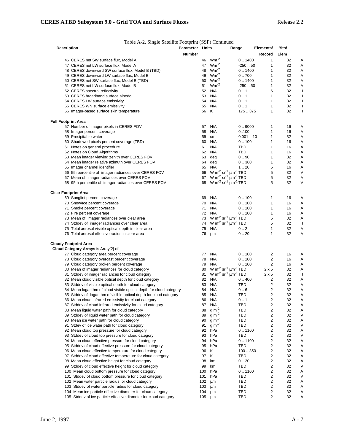#### Table A-2. Single Satellite Footprint (SSF) Continued

| <b>Description</b>          |                                                                     | <b>Parameter Units</b> |             |                                                                 | Range     | Elements/               | Bits/ |                          |
|-----------------------------|---------------------------------------------------------------------|------------------------|-------------|-----------------------------------------------------------------|-----------|-------------------------|-------|--------------------------|
|                             |                                                                     | Number                 |             |                                                                 |           | Record                  | Elem  |                          |
|                             | 46 CERES net SW surface flux, Model A                               |                        | 46          | $Wm^{-2}$                                                       | 0.1400    | 1                       | 32    | A                        |
|                             | 47 CERES net LW surface flux, Model A                               |                        | 47          | $Wm^{-2}$                                                       | $-250.50$ | 1                       | 32    | Α                        |
|                             | 48 CERES downward SW surface flux, Model B (TBD)                    |                        | 48          | $Wm^{-2}$                                                       | 0.1400    | 1                       | 32    | A                        |
|                             | 49 CERES downward LW surface flux, Model B                          |                        | 49          | $Wm^{-2}$                                                       | 0.700     | 1                       | 32    | A                        |
|                             | 50 CERES net SW surface flux, Model B (TBD)                         |                        | 50          | $Wm^{-2}$                                                       | 0.1400    | 1                       | 32    | Α                        |
|                             | 51 CERES net LW surface flux, Model B                               |                        | 51          | $Wm^{-2}$                                                       | -250  50  | 1                       | 32    | Α                        |
|                             | 52 CERES spectral reflectivity                                      |                        | 52          | N/A                                                             | 0.1       | 6                       | 32    | I                        |
|                             | 53 CERES broadband surface albedo                                   |                        | 53          | N/A                                                             | 0.1       | 1                       | 32    | I                        |
|                             | 54 CERES LW surface emissivity                                      |                        | 54          | N/A                                                             | 0.1       | 1                       | 32    | I                        |
|                             | 55 CERES WN surface emissivity                                      |                        | 55          | N/A                                                             | 0.1       | 1                       | 32    | ı                        |
|                             | 56 Imager-based surface skin temperature                            |                        | 56 K        |                                                                 | 175.375   | 1                       | 32    | $\overline{\phantom{a}}$ |
| <b>Full Footprint Area</b>  |                                                                     |                        |             |                                                                 |           |                         |       |                          |
|                             | 57 Number of imager pixels in CERES FOV                             |                        | 57          | N/A                                                             | 0.9000    | 1                       | 16    | A                        |
|                             | 58 Imager percent coverage                                          |                        | 58          | N/A                                                             | 0.100     | 1                       | 16    | A                        |
|                             | 59 Precipitable water                                               |                        | 59          | cm                                                              | 0.00110   | 1                       | 32    | Α                        |
|                             | 60 Shadowed pixels percent coverage (TBD)                           |                        | 60          | N/A                                                             | 0.100     | 1                       | 16    | Α                        |
|                             |                                                                     |                        | 61          | N/A                                                             | TBD       | 1                       | 16    | A                        |
|                             | 61 Notes on general procedure                                       |                        |             | N/A                                                             |           | 1                       | 16    | Α                        |
|                             | 62 Notes on Cloud Algorithms                                        |                        | 62          |                                                                 | TBD       |                         |       |                          |
|                             | 63 Mean imager viewing zenith over CERES FOV                        |                        | 63          | deg                                                             | 0.90      | 1                       | 32    | Α                        |
|                             | 64 Mean imager relative azimuth over CERES FOV                      |                        | 64          | deg                                                             | 0.360     | 1                       | 32    | Α                        |
|                             | 65 Imager channel identifier                                        |                        | 65          | N/A                                                             | 1.20      | 5                       | 16    | Α                        |
|                             | 66 5th percentile of imager radiances over CERES FOV                |                        |             | 66 W m <sup>-2</sup> sr <sup>-1</sup> µm <sup>-1</sup> TBD      |           | 5                       | 32    | V                        |
|                             | 67 Mean of imager radiances over CERES FOV                          |                        | 67          | W m <sup>-2</sup> sr <sup>-1</sup> $\mu$ m <sup>-1</sup> TBD    |           | 5                       | 32    | Α                        |
|                             | 68 95th percentile of imager radiances over CERES FOV               |                        |             | 68 W m <sup>-2</sup> sr <sup>-1</sup> $\mu$ m <sup>-1</sup> TBD |           | 5                       | 32    | V                        |
| <b>Clear Footprint Area</b> |                                                                     |                        |             |                                                                 |           |                         |       |                          |
|                             | 69 Sunglint percent coverage                                        |                        | 69          | N/A                                                             | 0.100     | 1                       | 16    | A                        |
|                             | 70 Snow/Ice percent coverage                                        |                        | 70          | N/A                                                             | 0.100     | 1                       | 16    | Α                        |
|                             | 71 Smoke percent coverage                                           |                        | 71          | N/A                                                             | 0.100     | 1                       | 16    | Α                        |
|                             | 72 Fire percent coverage                                            |                        | 72          | N/A                                                             | 0.100     | 1                       | 16    | Α                        |
|                             | 73 Mean of imager radiances over clear area                         |                        | 73          | W m <sup>-2</sup> sr <sup>-1</sup> $\mu$ m <sup>-1</sup> TBD    |           | 5                       | 32    | Α                        |
|                             | 74 Stddev of imager radiances over clear area                       |                        | 74          | W m <sup>-2</sup> sr <sup>-1</sup> $\mu$ m <sup>-1</sup> TBD    |           | 5                       | 32    | $\overline{\phantom{a}}$ |
|                             | 75 Total aerosol visible optical depth in clear area                |                        | 75          | N/A                                                             | 0.2       | 1                       | 32    | Α                        |
|                             | 76 Total aerosol effective radius in clear area                     |                        | 76          | μm                                                              | 0.20      | 1                       | 32    | Α                        |
|                             | <b>Cloudy Footprint Area</b>                                        |                        |             |                                                                 |           |                         |       |                          |
|                             | Cloud Category Arrays is Array[2] of:                               |                        |             |                                                                 |           |                         |       |                          |
|                             | 77 Cloud category area percent coverage                             |                        | 77          | N/A                                                             | 0.100     | 2                       | 16    | Α                        |
|                             | 78 Cloud category overcast percent coverage                         |                        | 78          | N/A                                                             | 0.100     | $\overline{2}$          | 16    | Α                        |
|                             | 79 Cloud category broken percent coverage                           |                        | 79          | N/A                                                             | 0.100     | $\overline{2}$          | 16    | Α                        |
|                             | 80 Mean of imager radiances for cloud category                      |                        | 80          | W m <sup>-2</sup> sr <sup>-1</sup> $\mu$ m <sup>-1</sup> TBD    |           | $2 \times 5$            | 32    | Α                        |
|                             | 81 Stddev of imager radiances for cloud category                    |                        | 81          | W m <sup>-2</sup> sr <sup>-1</sup> $\mu$ m <sup>-1</sup> TBD    |           | $2 \times 5$            | 32    | $\mathsf{l}$             |
|                             | 82 Mean cloud visible optical depth for cloud category              |                        | 82          | N/A                                                             | 0.400     | $\overline{2}$          | 32    | Α                        |
|                             | 83 Stddev of visible optical depth for cloud category               |                        | 83          | N/A                                                             | TBD       | $\overline{\mathbf{c}}$ | 32    | A                        |
|                             | 84 Mean logarithm of cloud visible optical depth for cloud category |                        | 84          | N/A                                                             | 0.6       | $\overline{2}$          | 32    | Α                        |
|                             | 85 Stddev of logarithm of visible optical depth for cloud category  |                        | 85          | N/A                                                             | TBD       | $\overline{2}$          | 32    | Α                        |
|                             | 86 Mean cloud infrared emissivity for cloud category                |                        | 86          | N/A                                                             | 0.1       | 2                       | 32    | Α                        |
|                             | 87 Stddev of cloud infrared emissivity for cloud category           |                        | 87          | N/A                                                             | TBD       | $\overline{\mathbf{c}}$ | 32    | Α                        |
|                             | 88 Mean liquid water path for cloud category                        |                        | 88          | $g m-2$                                                         | TBD       | 2                       | 32    | A                        |
|                             | 89 Stddev of liquid water path for cloud category                   |                        | 89          | $g m-2$                                                         | TBD       | 2                       | 32    | ν                        |
|                             | 90 Mean ice water path for cloud category                           |                        | 90          | $g m^{-2}$                                                      | TBD       | 2                       | 32    | Α                        |
|                             |                                                                     |                        | 91          | $g m-2$                                                         | TBD       | 2                       | 32    | ν                        |
|                             | 91 Stdev of ice water path for cloud category                       |                        |             |                                                                 | 0.1100    | 2                       |       |                          |
|                             | 92 Mean cloud top pressure for cloud category                       |                        | 92          | hPa                                                             |           |                         | 32    | Α<br>ν                   |
|                             | 93 Stddev of cloud top pressure for cloud category                  |                        | 93          | hPa                                                             | TBD       | 2                       | 32    |                          |
|                             | 94 Mean cloud effective pressure for cloud category                 |                        | 94          | hPa                                                             | 0.1100    | 2                       | 32    | Α                        |
|                             | 95 Stddev of cloud effective pressure for cloud category            |                        | 95          | hPa                                                             | TBD       | 2                       | 32    | Α                        |
|                             | 96 Mean cloud effective temperature for cloud category              |                        | 96          | Κ                                                               | 100350    | 2                       | 32    | Α                        |
|                             | 97 Stddev of cloud effective temperature for cloud category         |                        | 97          | Κ                                                               | TBD       | 2                       | 32    | Α                        |
|                             | 98 Mean cloud effective height for cloud category                   |                        | 98          | km                                                              | 0.20      | 2                       | 32    | Α                        |
|                             | 99 Stddev of cloud effective height for cloud category              |                        | 99          | km                                                              | TBD       | 2                       | 32    | V                        |
|                             | 100 Mean cloud bottom pressure for cloud category                   |                        | 100         | hPa                                                             | 0.1100    | 2                       | 32    | A                        |
|                             | 101 Stddev of cloud bottom pressure for cloud category              |                        | 101         | hPa                                                             | TBD       | 2                       | 32    | V                        |
|                             | 102 Mean water particle radius for cloud category                   |                        | 102         | μm                                                              | TBD       | 2                       | 32    | Α                        |
|                             | 103 Stddev of water particle radius for cloud category              |                        | 103         | μm                                                              | TBD       | 2                       | 32    | Α                        |
|                             | 104 Mean ice particle effective diameter for cloud category         |                        | 104         | μm                                                              | TBD       | 2                       | 32    | Α                        |
|                             | 105 Stddev of ice particle effective diameter for cloud category    |                        | 105 $\mu$ m |                                                                 | TBD       | 2                       | 32    | Α                        |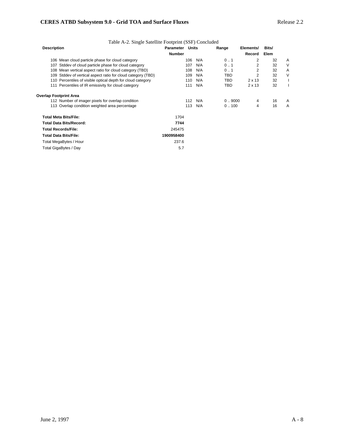| Table A-2. Single Satellite Footprint (SSF) Concluded        |                        |     |     |        |               |       |        |
|--------------------------------------------------------------|------------------------|-----|-----|--------|---------------|-------|--------|
| <b>Description</b>                                           | <b>Parameter Units</b> |     |     | Range  | Elements/     | Bits/ |        |
|                                                              | <b>Number</b>          |     |     |        | Record        | Elem  |        |
| 106 Mean cloud particle phase for cloud category             |                        | 106 | N/A | 01     | 2             | 32    | A      |
| 107 Stddev of cloud particle phase for cloud category        |                        | 107 | N/A | 0.1    | 2             | 32    | V      |
| 108 Mean vertical aspect ratio for cloud category (TBD)      |                        | 108 | N/A | 01     | 2             | 32    | A      |
| 109 Stddev of vertical aspect ratio for cloud category (TBD) |                        | 109 | N/A | TBD    | 2             | 32    | $\vee$ |
| 110 Percentiles of visible optical depth for cloud category  |                        | 110 | N/A | TBD    | $2 \times 13$ | 32    |        |
| 111 Percentiles of IR emissivity for cloud category          |                        | 111 | N/A | TBD    | $2 \times 13$ | 32    |        |
| Overlap Footprint Area                                       |                        |     |     |        |               |       |        |
| 112 Number of imager pixels for overlap condition            |                        | 112 | N/A | 0.9000 | 4             | 16    | Α      |
| 113 Overlap condition weighted area percentage               |                        | 113 | N/A | 0.100  | 4             | 16    | A      |
| <b>Total Meta Bits/File:</b>                                 | 1704                   |     |     |        |               |       |        |
| Total Data Bits/Record:                                      | 7744                   |     |     |        |               |       |        |
| <b>Total Records/File:</b>                                   | 245475                 |     |     |        |               |       |        |
| <b>Total Data Bits/File:</b>                                 | 1900958400             |     |     |        |               |       |        |
| Total MegaBytes / Hour                                       | 237.6                  |     |     |        |               |       |        |
| Total GigaBytes / Day                                        | 5.7                    |     |     |        |               |       |        |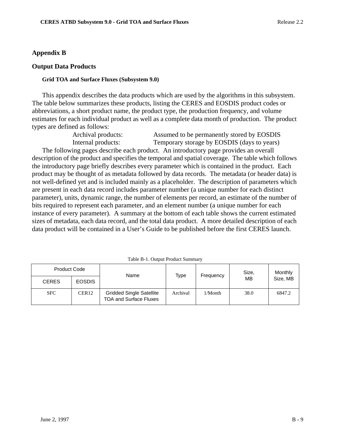## **Appendix B**

## **Output Data Products**

#### **Grid TOA and Surface Fluxes (Subsystem 9.0)**

This appendix describes the data products which are used by the algorithms in this subsystem. The table below summarizes these products, listing the CERES and EOSDIS product codes or abbreviations, a short product name, the product type, the production frequency, and volume estimates for each individual product as well as a complete data month of production. The product types are defined as follows:

Archival products: Assumed to be permanently stored by EOSDIS Internal products: Temporary storage by EOSDIS (days to years) The following pages describe each product. An introductory page provides an overall description of the product and specifies the temporal and spatial coverage. The table which follows the introductory page briefly describes every parameter which is contained in the product. Each product may be thought of as metadata followed by data records. The metadata (or header data) is not well-defined yet and is included mainly as a placeholder. The description of parameters which are present in each data record includes parameter number (a unique number for each distinct parameter), units, dynamic range, the number of elements per record, an estimate of the number of bits required to represent each parameter, and an element number (a unique number for each instance of every parameter). A summary at the bottom of each table shows the current estimated sizes of metadata, each data record, and the total data product. A more detailed description of each data product will be contained in a User's Guide to be published before the first CERES launch.

| <b>Product Code</b> |                   | Name                                                             | Type     | Frequency | Size.     | Monthly  |
|---------------------|-------------------|------------------------------------------------------------------|----------|-----------|-----------|----------|
| <b>CERES</b>        | <b>EOSDIS</b>     |                                                                  |          |           | <b>MB</b> | Size, MB |
| <b>SFC</b>          | CER <sub>12</sub> | <b>Gridded Single Satellite</b><br><b>TOA and Surface Fluxes</b> | Archival | 1/Month   | 38.0      | 6847.2   |

Table B-1. Output Product Summary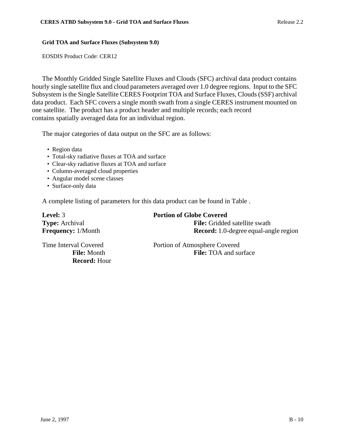#### **Grid TOA and Surface Fluxes (Subsystem 9.0)**

EOSDIS Product Code: CER12

The Monthly Gridded Single Satellite Fluxes and Clouds (SFC) archival data product contains hourly single satellite flux and cloud parameters averaged over 1.0 degree regions. Input to the SFC Subsystem is the Single Satellite CERES Footprint TOA and Surface Fluxes, Clouds (SSF) archival data product. Each SFC covers a single month swath from a single CERES instrument mounted on one satellite. The product has a product header and multiple records; each record contains spatially averaged data for an individual region.

The major categories of data output on the SFC are as follows:

- Region data
- Total-sky radiative fluxes at TOA and surface
- Clear-sky radiative fluxes at TOA and surface
- Column-averaged cloud properties
- Angular model scene classes
- Surface-only data

A complete listing of parameters for this data product can be found in Table .

| <b>Level:</b> 3           | <b>Portion of Globe Covered</b>              |
|---------------------------|----------------------------------------------|
| <b>Type:</b> Archival     | <b>File:</b> Gridded satellite swath         |
| <b>Frequency:</b> 1/Month | <b>Record:</b> 1.0-degree equal-angle region |

**Record:** Hour

Time Interval Covered Portion of Atmosphere Covered **File:** Month **File:** TOA and surface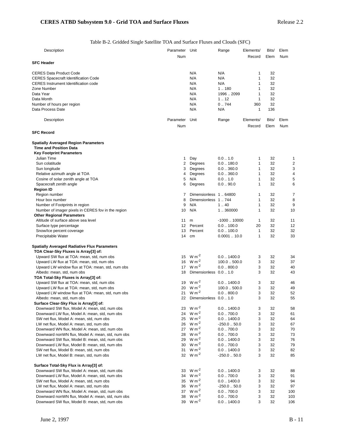Table B-2. Gridded Single Satellite TOA and Surface Fluxes and Clouds (SFC)

| Description                                                                            | Parameter Unit    |                           | Range                 | Elements/ | Bits/ | Elem     |
|----------------------------------------------------------------------------------------|-------------------|---------------------------|-----------------------|-----------|-------|----------|
|                                                                                        | Num               |                           |                       | Record    | Elem  | Num      |
| <b>SFC Header</b>                                                                      |                   |                           |                       |           |       |          |
|                                                                                        |                   |                           |                       |           |       |          |
| <b>CERES Data Product Code</b>                                                         |                   | N/A                       | N/A                   | 1         | 32    |          |
| <b>CERES Spacecraft Identification Code</b>                                            |                   | N/A                       | N/A                   | 1         | 32    |          |
| <b>CERES</b> Instrument Identification code                                            |                   | N/A                       | N/A                   | 1         | 32    |          |
| Zone Number                                                                            |                   | N/A                       | 1.180                 | 1         | 32    |          |
| Data Year                                                                              |                   | N/A                       | 19962099              | 1         | 32    |          |
| Data Month                                                                             |                   | N/A                       | 1.12                  | 1         | 32    |          |
| Number of hours per region                                                             |                   | N/A                       | 0.744                 | 360       | 32    |          |
| Data Process Date                                                                      |                   | N/A                       | N/A                   | 1         | 136   |          |
|                                                                                        | Parameter         | Unit                      |                       |           |       | Elem     |
| Description                                                                            |                   |                           | Range                 | Elements/ | Bits/ |          |
|                                                                                        | Num               |                           |                       | Record    | Elem  | Num      |
| <b>SFC Record</b>                                                                      |                   |                           |                       |           |       |          |
| <b>Spatially Averaged Region Parameters</b>                                            |                   |                           |                       |           |       |          |
| <b>Time and Position Data</b>                                                          |                   |                           |                       |           |       |          |
| <b>Key Footprint Parameters</b>                                                        |                   |                           |                       |           |       |          |
| Julian Time                                                                            | 1                 | Day                       | 0.01.0                | 1         | 32    | 1        |
| Sun colatitude                                                                         | 2                 | Degrees                   | $0.0$ $\ldots$ 180.0  | 1         | 32    | 2        |
| Sun longitude                                                                          | 3                 | Degrees                   | 0.0360.0              | 1         | 32    | 3        |
| Relative azimuth angle at TOA                                                          | 4                 | Degrees                   | 0.0360.0              | 1         | 32    | 4        |
| Cosine of solar zenith angle at TOA                                                    | 5                 | N/A                       | 0.01.0                | 1         | 32    | 5        |
| Spacecraft zenith angle                                                                | 6                 | Degrees                   | 0.090.0               | 1         | 32    | 6        |
| <b>Region ID</b>                                                                       |                   |                           |                       |           |       |          |
| Region number                                                                          | 7                 | Dimensionless 164800      |                       | 1         | 32    | 7        |
| Hour box number                                                                        | 8                 | Dimensionless 1744        |                       | 1         | 32    | 8        |
| Number of Footprints in region                                                         | 9                 | N/A                       | 1.40                  | 1         | 32    | 9        |
| Number of imager pixels in CERES fov in the region                                     | 10                | N/A                       | 1.360000              | 1         | 32    | 10       |
| <b>Other Regional Parameters</b>                                                       |                   |                           |                       |           |       |          |
| Altitude of surface above sea level                                                    | 11                | m                         | $-100010000$          | 1         | 32    | 11       |
| Surface type percentage                                                                | $12 \overline{ }$ | Percent                   | 0.0100.0              | 20        | 32    | 12       |
| Snow/Ice percent coverage                                                              | 13                | Percent                   | 0.0100.0              | 1         | 32    | 32       |
| Precipitable Water                                                                     | 14                | cm                        | 0.000110.0            | 1         | 32    | 33       |
|                                                                                        |                   |                           |                       |           |       |          |
| <b>Spatially Averaged Radiative Flux Parameters</b>                                    |                   |                           |                       |           |       |          |
| TOA Clear-Sky Fluxes is Array[3] of:                                                   |                   | 15 $W m^{-2}$             | $0.0$ $.1400.0$       | 3         | 32    |          |
| Upward SW flux at TOA: mean, std, num obs<br>Upward LW flux at TOA: mean, std, num obs | 16                | $W m-2$                   | 100.0500.0            | 3         | 32    | 34<br>37 |
| Upward LW window flux at TOA: mean, std, num obs                                       | 17                | $W m-2$                   | $0.0 - 800.0$         | 3         | 32    | 40       |
| Albedo: mean, std, num obs                                                             | 18                | Dimensionless 0.0  1.0    |                       | 3         | 32    | 43       |
| TOA Total-Sky Fluxes is Array[3] of:                                                   |                   |                           |                       |           |       |          |
| Upward SW flux at TOA: mean, std, num obs                                              | 19                | $W m-2$                   | $0.0$ $\ldots$ 1400.0 | 3         | 32    | 46       |
| Upward LW flux at TOA: mean, std, num obs                                              | 20                | $W m^{-2}$                | 100.0500.0            | 3         | 32    | 49       |
| Upward LW window flux at TOA: mean, std, num obs                                       | 21                | $W m-2$                   | $0.0 - 800.0$         | 3         | 32    | 52       |
| Albedo: mean, std, num obs                                                             |                   | 22 Dimensionless 0.0  1.0 |                       | 3         | 32    | 55       |
| Surface Clear-Sky Flux is Array[3] of:                                                 |                   |                           |                       |           |       |          |
| Downward SW flux, Model A: mean, std, num obs                                          | 23                | $W m-2$                   | $0.0$ $\ldots$ 1400.0 | 3         | 32    | 58       |
| Downward LW flux, Model A: mean, std, num obs                                          | 24                | $W m-2$                   | $0.0$ $.700.0$        | 3         | 32    | 61       |
| SW net flux, Model A: mean, std, num obs                                               | 25                | $W m-2$                   | $0.0$ $\ldots$ 1400.0 | 3         | 32    | 64       |
| LW net flux, Model A: mean, std, num obs                                               | 26                | $W m-2$                   | $-250.050.0$          | 3         | 32    | 67       |
| Downward WN flux, Model A: mean, std, num obs                                          | 27                | $W m-2$                   | $0.0$ $.700.0$        | 3         | 32    | 70       |
| Downward nonWN flux, Model A: mean, std, num obs                                       | 28                | $W m-2$                   | $0.0$ $.700.0$        | 3         | 32    | 73       |
| Downward SW flux, Model B: mean, std, num obs                                          | 29                | $W m-2$                   | $0.0$ $\ldots$ 1400.0 | 3         | 32    | 76       |
| Downward LW flux, Model B: mean, std, num obs                                          | 30                | $W m-2$                   | 0.0700.0              | 3         | 32    | 79       |
| SW net flux, Model B: mean, std, num obs                                               | 31                | $W m-2$                   | $0.0$ $\dots$ 1400.0  | 3         | 32    | 82       |
| LW net flux, Model B: mean, std, num obs                                               |                   | 32 $W m^{-2}$             | $-250.050.0$          | 3         | 32    | 85       |
|                                                                                        |                   |                           |                       |           |       |          |
| Surface Total-Sky Flux is Array[3] of:                                                 |                   |                           |                       |           |       |          |
| Downward SW flux, Model A: mean, std, num obs                                          | 33                | $W m-2$                   | $0.0$ $\ldots$ 1400.0 | 3         | 32    | 88       |
| Downward LW flux, Model A: mean, std, num obs                                          | 34                | $W m^{-2}$                | $0.0$ $.700.0$        | 3         | 32    | 91       |
| SW net flux, Model A: mean, std, num obs                                               | 35                | $W m-2$                   | $0.0$ $\ldots$ 1400.0 | 3         | 32    | 94       |
| LW net flux, Model A: mean, std, num obs                                               | 36                | $W m-2$                   | $-250.050.0$          | 3         | 32    | 97       |
| Downward WN flux, Model A: mean, std, num obs                                          | 37                | $W m-2$                   | $0.0$ $.700.0$        | 3         | 32    | 100      |
| Downward nonWN flux, Model A: mean, std, num obs                                       | 38                | $W m-2$                   | $0.0$ $.700.0$        | 3         | 32    | 103      |
| Downward SW flux, Model B: mean, std, num obs                                          | 39                | $W m^{-2}$                | $0.0$ $\ldots$ 1400.0 | 3         | 32    | 106      |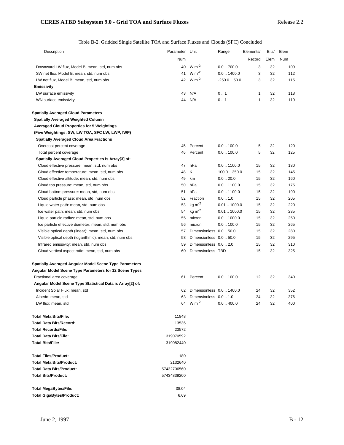Table B-2. Gridded Single Satellite TOA and Surface Fluxes and Clouds (SFC) Concluded

| Description                                               | Parameter Unit |                           | Range                 | Elements/ | Bits/ | Elem |
|-----------------------------------------------------------|----------------|---------------------------|-----------------------|-----------|-------|------|
|                                                           | Num            |                           |                       | Record    | Elem  | Num  |
| Downward LW flux, Model B: mean, std, num obs             |                | 40 W m <sup>-2</sup>      | $0.0$ $.700.0$        | 3         | 32    | 109  |
| SW net flux, Model B: mean, std, num obs                  | 41             | $W m^{-2}$                | $0.0$ $.1400.0$       | 3         | 32    | 112  |
| LW net flux, Model B: mean, std, num obs                  |                | 42 W m <sup>-2</sup>      | $-250.050.0$          | 3         | 32    | 115  |
| <b>Emissivity</b>                                         |                |                           |                       |           |       |      |
| LW surface emissivity                                     | 43             | N/A                       | 0.1                   | 1         | 32    | 118  |
| WN surface emissivity                                     | 44             | N/A                       | 0.1                   | 1         | 32    | 119  |
| <b>Spatially Averaged Cloud Parameters</b>                |                |                           |                       |           |       |      |
| <b>Spatially Averaged Weighted Column</b>                 |                |                           |                       |           |       |      |
| <b>Averaged Cloud Properties for 5 Weightings</b>         |                |                           |                       |           |       |      |
| (Five Weightings: SW, LW TOA, SFC LW, LWP, IWP)           |                |                           |                       |           |       |      |
| <b>Spatially Averaged Cloud Area Fractions</b>            |                |                           |                       |           |       |      |
| Overcast percent coverage                                 |                | 45 Percent                | $0.0$ $\ldots$ 100.0  | 5         | 32    | 120  |
| Total percent coverage                                    | 46             | Percent                   | 0.0100.0              | 5         | 32    | 125  |
| Spatially Averaged Cloud Properties is Array[3] of:       |                |                           |                       |           |       |      |
| Cloud effective pressure: mean, std, num obs              | 47             | hPa                       | $0.0$ $.1100.0$       | 15        | 32    | 130  |
| Cloud effective temperature: mean, std, num obs           | 48             | Κ                         | 100.0  350.0          | 15        | 32    | 145  |
| Cloud effective altitude: mean, std, num obs              | 49             | km                        | $0.0 - 20.0$          | 15        | 32    | 160  |
| Cloud top pressure: mean, std, num obs                    | 50             | hPa                       | $0.0$ $.1100.0$       | 15        | 32    | 175  |
| Cloud bottom pressure: mean, std, num obs                 | 51             | hPa                       | $0.0$ $\dots$ 1100.0  | 15        | 32    | 190  |
| Cloud particle phase: mean, std, num obs                  | 52             | Fraction                  | 0.01.0                | 15        | 32    | 205  |
| Liquid water path: mean, std, num obs                     | 53             | $kg m-2$                  | 0.011000.0            | 15        | 32    | 220  |
| Ice water path: mean, std, num obs                        | 54             | $kg \, m^{-2}$            | 0.011000.0            | 15        | 32    | 235  |
| Liquid particle radius: mean, std, num obs                | 55             | micron                    | $0.0$ $\ldots$ 1000.0 | 15        | 32    | 250  |
| Ice particle effective diameter: mean, std, num obs       | 56             | micron                    | $0.0$ $\ldots$ 100.0  | 15        | 32    | 265  |
| Visible optical depth (linear): mean, std, num obs        | 57             | Dimensionless 0.0  50.0   |                       | 15        | 32    | 280  |
| Visible optical depth (logarithmic): mean, std, num obs   | 58             | Dimensionless 0.0  50.0   |                       | 15        | 32    | 295  |
| Infrared emissivity: mean, std, num obs                   | 59             | Dimensionless 0.0  2.0    |                       | 15        | 32    | 310  |
| Cloud vertical aspect ratio: mean, std, num obs           | 60             | Dimensionless TBD         |                       | 15        | 32    | 325  |
| Spatially Averaged Angular Model Scene Type Parameters    |                |                           |                       |           |       |      |
| Angular Model Scene Type Parameters for 12 Scene Types    |                |                           |                       |           |       |      |
| Fractional area coverage                                  | 61             | Percent                   | $0.0$ $\ldots$ 100.0  | 12        | 32    | 340  |
| Angular Model Scene Type Statistical Data is Array[2] of: |                |                           |                       |           |       |      |
| Incident Solar Flux: mean, std                            | 62             | Dimensionless 0.0  1400.0 |                       | 24        | 32    | 352  |
| Albedo: mean, std                                         | 63             | Dimensionless 0.0  1.0    |                       | 24        | 32    | 376  |
| LW flux: mean, std                                        |                | 64 W m <sup>-2</sup>      | $0.0$ $.400.0$        | 24        | 32    | 400  |
| Total Meta Bits/File:                                     | 11848          |                           |                       |           |       |      |
| <b>Total Data Bits/Record:</b>                            | 13536          |                           |                       |           |       |      |
| <b>Total Records/File:</b>                                | 23572          |                           |                       |           |       |      |
| <b>Total Data Bits/File:</b>                              | 319070592      |                           |                       |           |       |      |
| <b>Total Bits/File:</b>                                   | 319082440      |                           |                       |           |       |      |
| <b>Total Files/Product:</b>                               | 180            |                           |                       |           |       |      |
| <b>Total Meta Bits/Product:</b>                           | 2132640        |                           |                       |           |       |      |
| <b>Total Data Bits/Product:</b>                           | 57432706560    |                           |                       |           |       |      |
| <b>Total Bits/Product:</b>                                | 57434839200    |                           |                       |           |       |      |
| <b>Total MegaBytes/File:</b>                              | 38.04          |                           |                       |           |       |      |
| Total GigaBytes/Product:                                  | 6.69           |                           |                       |           |       |      |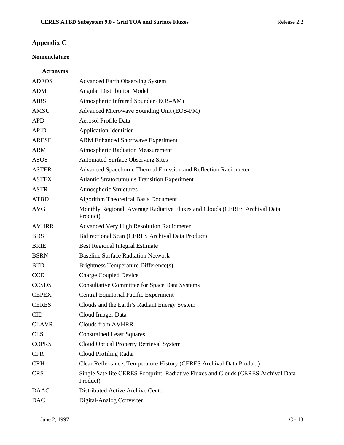# **Appendix C**

# **Nomenclature**

# **Acronyms**

| <b>ADEOS</b> | <b>Advanced Earth Observing System</b>                                                         |
|--------------|------------------------------------------------------------------------------------------------|
| <b>ADM</b>   | <b>Angular Distribution Model</b>                                                              |
| <b>AIRS</b>  | Atmospheric Infrared Sounder (EOS-AM)                                                          |
| AMSU         | Advanced Microwave Sounding Unit (EOS-PM)                                                      |
| <b>APD</b>   | Aerosol Profile Data                                                                           |
| <b>APID</b>  | <b>Application Identifier</b>                                                                  |
| <b>ARESE</b> | <b>ARM Enhanced Shortwave Experiment</b>                                                       |
| <b>ARM</b>   | <b>Atmospheric Radiation Measurement</b>                                                       |
| <b>ASOS</b>  | <b>Automated Surface Observing Sites</b>                                                       |
| <b>ASTER</b> | Advanced Spaceborne Thermal Emission and Reflection Radiometer                                 |
| <b>ASTEX</b> | <b>Atlantic Stratocumulus Transition Experiment</b>                                            |
| <b>ASTR</b>  | <b>Atmospheric Structures</b>                                                                  |
| <b>ATBD</b>  | <b>Algorithm Theoretical Basis Document</b>                                                    |
| <b>AVG</b>   | Monthly Regional, Average Radiative Fluxes and Clouds (CERES Archival Data<br>Product)         |
| <b>AVHRR</b> | Advanced Very High Resolution Radiometer                                                       |
| <b>BDS</b>   | Bidirectional Scan (CERES Archival Data Product)                                               |
| <b>BRIE</b>  | <b>Best Regional Integral Estimate</b>                                                         |
| <b>BSRN</b>  | <b>Baseline Surface Radiation Network</b>                                                      |
| <b>BTD</b>   | Brightness Temperature Difference(s)                                                           |
| <b>CCD</b>   | <b>Charge Coupled Device</b>                                                                   |
| <b>CCSDS</b> | <b>Consultative Committee for Space Data Systems</b>                                           |
| <b>CEPEX</b> | <b>Central Equatorial Pacific Experiment</b>                                                   |
| <b>CERES</b> | Clouds and the Earth's Radiant Energy System                                                   |
| <b>CID</b>   | Cloud Imager Data                                                                              |
| <b>CLAVR</b> | <b>Clouds from AVHRR</b>                                                                       |
| <b>CLS</b>   | <b>Constrained Least Squares</b>                                                               |
| <b>COPRS</b> | Cloud Optical Property Retrieval System                                                        |
| <b>CPR</b>   | <b>Cloud Profiling Radar</b>                                                                   |
| <b>CRH</b>   | Clear Reflectance, Temperature History (CERES Archival Data Product)                           |
| <b>CRS</b>   | Single Satellite CERES Footprint, Radiative Fluxes and Clouds (CERES Archival Data<br>Product) |
| <b>DAAC</b>  | Distributed Active Archive Center                                                              |
| <b>DAC</b>   | Digital-Analog Converter                                                                       |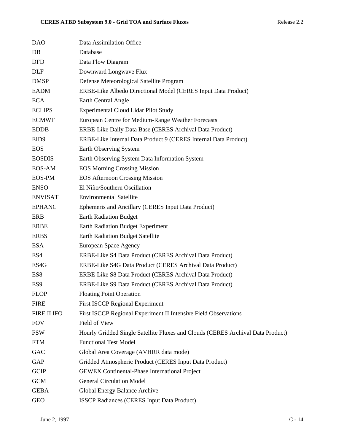| <b>DAO</b>       | Data Assimilation Office                                                        |
|------------------|---------------------------------------------------------------------------------|
| DB               | Database                                                                        |
| <b>DFD</b>       | Data Flow Diagram                                                               |
| <b>DLF</b>       | Downward Longwave Flux                                                          |
| <b>DMSP</b>      | Defense Meteorological Satellite Program                                        |
| <b>EADM</b>      | ERBE-Like Albedo Directional Model (CERES Input Data Product)                   |
| <b>ECA</b>       | Earth Central Angle                                                             |
| <b>ECLIPS</b>    | <b>Experimental Cloud Lidar Pilot Study</b>                                     |
| <b>ECMWF</b>     | European Centre for Medium-Range Weather Forecasts                              |
| <b>EDDB</b>      | ERBE-Like Daily Data Base (CERES Archival Data Product)                         |
| EID <sub>9</sub> | ERBE-Like Internal Data Product 9 (CERES Internal Data Product)                 |
| <b>EOS</b>       | Earth Observing System                                                          |
| <b>EOSDIS</b>    | Earth Observing System Data Information System                                  |
| EOS-AM           | <b>EOS Morning Crossing Mission</b>                                             |
| EOS-PM           | <b>EOS Afternoon Crossing Mission</b>                                           |
| <b>ENSO</b>      | El Niño/Southern Oscillation                                                    |
| <b>ENVISAT</b>   | <b>Environmental Satellite</b>                                                  |
| <b>EPHANC</b>    | Ephemeris and Ancillary (CERES Input Data Product)                              |
| ERB              | <b>Earth Radiation Budget</b>                                                   |
| <b>ERBE</b>      | <b>Earth Radiation Budget Experiment</b>                                        |
| <b>ERBS</b>      | <b>Earth Radiation Budget Satellite</b>                                         |
| <b>ESA</b>       | European Space Agency                                                           |
| ES4              | ERBE-Like S4 Data Product (CERES Archival Data Product)                         |
| ES4G             | ERBE-Like S4G Data Product (CERES Archival Data Product)                        |
| ES8              | ERBE-Like S8 Data Product (CERES Archival Data Product)                         |
| ES <sub>9</sub>  | ERBE-Like S9 Data Product (CERES Archival Data Product)                         |
| <b>FLOP</b>      | <b>Floating Point Operation</b>                                                 |
| <b>FIRE</b>      | <b>First ISCCP Regional Experiment</b>                                          |
| FIRE II IFO      | First ISCCP Regional Experiment II Intensive Field Observations                 |
| <b>FOV</b>       | Field of View                                                                   |
| <b>FSW</b>       | Hourly Gridded Single Satellite Fluxes and Clouds (CERES Archival Data Product) |
| <b>FTM</b>       | <b>Functional Test Model</b>                                                    |
| <b>GAC</b>       | Global Area Coverage (AVHRR data mode)                                          |
| <b>GAP</b>       | Gridded Atmospheric Product (CERES Input Data Product)                          |
| <b>GCIP</b>      | <b>GEWEX Continental-Phase International Project</b>                            |
| <b>GCM</b>       | <b>General Circulation Model</b>                                                |
| <b>GEBA</b>      | Global Energy Balance Archive                                                   |
| <b>GEO</b>       | <b>ISSCP Radiances (CERES Input Data Product)</b>                               |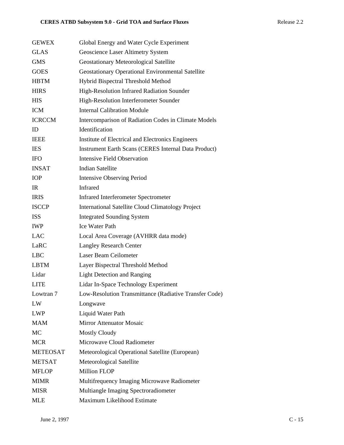| <b>GEWEX</b>    | Global Energy and Water Cycle Experiment                    |
|-----------------|-------------------------------------------------------------|
| <b>GLAS</b>     | Geoscience Laser Altimetry System                           |
| <b>GMS</b>      | Geostationary Meteorological Satellite                      |
| <b>GOES</b>     | <b>Geostationary Operational Environmental Satellite</b>    |
| <b>HBTM</b>     | Hybrid Bispectral Threshold Method                          |
| <b>HIRS</b>     | High-Resolution Infrared Radiation Sounder                  |
| <b>HIS</b>      | High-Resolution Interferometer Sounder                      |
| <b>ICM</b>      | <b>Internal Calibration Module</b>                          |
| <b>ICRCCM</b>   | Intercomparison of Radiation Codes in Climate Models        |
| ID              | Identification                                              |
| <b>IEEE</b>     | Institute of Electrical and Electronics Engineers           |
| <b>IES</b>      | <b>Instrument Earth Scans (CERES Internal Data Product)</b> |
| <b>IFO</b>      | <b>Intensive Field Observation</b>                          |
| <b>INSAT</b>    | <b>Indian Satellite</b>                                     |
| <b>IOP</b>      | <b>Intensive Observing Period</b>                           |
| IR.             | Infrared                                                    |
| <b>IRIS</b>     | <b>Infrared Interferometer Spectrometer</b>                 |
| <b>ISCCP</b>    | <b>International Satellite Cloud Climatology Project</b>    |
| <b>ISS</b>      | <b>Integrated Sounding System</b>                           |
| <b>IWP</b>      | <b>Ice Water Path</b>                                       |
| <b>LAC</b>      | Local Area Coverage (AVHRR data mode)                       |
| LaRC            | <b>Langley Research Center</b>                              |
| <b>LBC</b>      | Laser Beam Ceilometer                                       |
| LBTM            | Layer Bispectral Threshold Method                           |
| Lidar           | <b>Light Detection and Ranging</b>                          |
| <b>LITE</b>     | Lidar In-Space Technology Experiment                        |
| Lowtran 7       | Low-Resolution Transmittance (Radiative Transfer Code)      |
| LW              | Longwave                                                    |
| <b>LWP</b>      | Liquid Water Path                                           |
| <b>MAM</b>      | <b>Mirror Attenuator Mosaic</b>                             |
| MC              | <b>Mostly Cloudy</b>                                        |
| <b>MCR</b>      | Microwave Cloud Radiometer                                  |
| <b>METEOSAT</b> | Meteorological Operational Satellite (European)             |
| <b>METSAT</b>   | Meteorological Satellite                                    |
| <b>MFLOP</b>    | <b>Million FLOP</b>                                         |
| <b>MIMR</b>     | Multifrequency Imaging Microwave Radiometer                 |
| <b>MISR</b>     | Multiangle Imaging Spectroradiometer                        |
| <b>MLE</b>      | Maximum Likelihood Estimate                                 |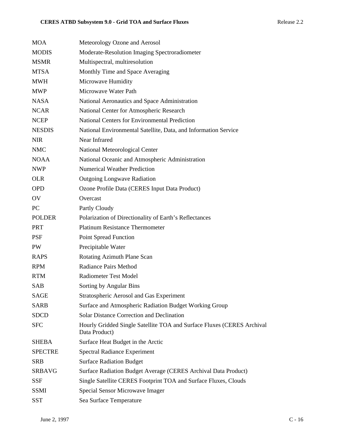| <b>MOA</b>     | Meteorology Ozone and Aerosol                                                           |
|----------------|-----------------------------------------------------------------------------------------|
| <b>MODIS</b>   | Moderate-Resolution Imaging Spectroradiometer                                           |
| <b>MSMR</b>    | Multispectral, multiresolution                                                          |
| <b>MTSA</b>    | Monthly Time and Space Averaging                                                        |
| <b>MWH</b>     | Microwave Humidity                                                                      |
| <b>MWP</b>     | Microwave Water Path                                                                    |
| <b>NASA</b>    | National Aeronautics and Space Administration                                           |
| <b>NCAR</b>    | National Center for Atmospheric Research                                                |
| <b>NCEP</b>    | <b>National Centers for Environmental Prediction</b>                                    |
| <b>NESDIS</b>  | National Environmental Satellite, Data, and Information Service                         |
| <b>NIR</b>     | Near Infrared                                                                           |
| <b>NMC</b>     | National Meteorological Center                                                          |
| <b>NOAA</b>    | National Oceanic and Atmospheric Administration                                         |
| <b>NWP</b>     | <b>Numerical Weather Prediction</b>                                                     |
| <b>OLR</b>     | <b>Outgoing Longwave Radiation</b>                                                      |
| <b>OPD</b>     | Ozone Profile Data (CERES Input Data Product)                                           |
| OV             | Overcast                                                                                |
| PC             | Partly Cloudy                                                                           |
| <b>POLDER</b>  | Polarization of Directionality of Earth's Reflectances                                  |
| <b>PRT</b>     | <b>Platinum Resistance Thermometer</b>                                                  |
| <b>PSF</b>     | <b>Point Spread Function</b>                                                            |
| PW             | Precipitable Water                                                                      |
| <b>RAPS</b>    | Rotating Azimuth Plane Scan                                                             |
| <b>RPM</b>     | <b>Radiance Pairs Method</b>                                                            |
| <b>RTM</b>     | <b>Radiometer Test Model</b>                                                            |
| <b>SAB</b>     | Sorting by Angular Bins                                                                 |
| <b>SAGE</b>    | Stratospheric Aerosol and Gas Experiment                                                |
| <b>SARB</b>    | Surface and Atmospheric Radiation Budget Working Group                                  |
| <b>SDCD</b>    | <b>Solar Distance Correction and Declination</b>                                        |
| <b>SFC</b>     | Hourly Gridded Single Satellite TOA and Surface Fluxes (CERES Archival<br>Data Product) |
| <b>SHEBA</b>   | Surface Heat Budget in the Arctic                                                       |
| <b>SPECTRE</b> | <b>Spectral Radiance Experiment</b>                                                     |
| <b>SRB</b>     | <b>Surface Radiation Budget</b>                                                         |
| <b>SRBAVG</b>  | Surface Radiation Budget Average (CERES Archival Data Product)                          |
| <b>SSF</b>     | Single Satellite CERES Footprint TOA and Surface Fluxes, Clouds                         |
| <b>SSMI</b>    | Special Sensor Microwave Imager                                                         |
| <b>SST</b>     | Sea Surface Temperature                                                                 |
|                |                                                                                         |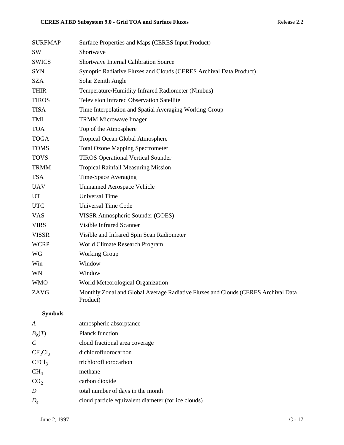| <b>SURFMAP</b>        | Surface Properties and Maps (CERES Input Product)                                             |
|-----------------------|-----------------------------------------------------------------------------------------------|
| <b>SW</b>             | Shortwave                                                                                     |
| <b>SWICS</b>          | Shortwave Internal Calibration Source                                                         |
| <b>SYN</b>            | Synoptic Radiative Fluxes and Clouds (CERES Archival Data Product)                            |
| <b>SZA</b>            | Solar Zenith Angle                                                                            |
| <b>THIR</b>           | Temperature/Humidity Infrared Radiometer (Nimbus)                                             |
| <b>TIROS</b>          | <b>Television Infrared Observation Satellite</b>                                              |
| <b>TISA</b>           | Time Interpolation and Spatial Averaging Working Group                                        |
| TMI                   | <b>TRMM Microwave Imager</b>                                                                  |
| <b>TOA</b>            | Top of the Atmosphere                                                                         |
| <b>TOGA</b>           | Tropical Ocean Global Atmosphere                                                              |
| <b>TOMS</b>           | <b>Total Ozone Mapping Spectrometer</b>                                                       |
| <b>TOVS</b>           | <b>TIROS Operational Vertical Sounder</b>                                                     |
| <b>TRMM</b>           | <b>Tropical Rainfall Measuring Mission</b>                                                    |
| <b>TSA</b>            | Time-Space Averaging                                                                          |
| <b>UAV</b>            | <b>Unmanned Aerospace Vehicle</b>                                                             |
| UT                    | <b>Universal Time</b>                                                                         |
| <b>UTC</b>            | <b>Universal Time Code</b>                                                                    |
| <b>VAS</b>            | VISSR Atmospheric Sounder (GOES)                                                              |
| <b>VIRS</b>           | <b>Visible Infrared Scanner</b>                                                               |
| <b>VISSR</b>          | Visible and Infrared Spin Scan Radiometer                                                     |
| <b>WCRP</b>           | World Climate Research Program                                                                |
| WG                    | <b>Working Group</b>                                                                          |
| Win                   | Window                                                                                        |
| WN                    | Window                                                                                        |
| <b>WMO</b>            | World Meteorological Organization                                                             |
| ZAVG                  | Monthly Zonal and Global Average Radiative Fluxes and Clouds (CERES Archival Data<br>Product) |
| <b>Symbols</b>        |                                                                                               |
| A                     | atmospheric absorptance                                                                       |
| $B_{\lambda}(T)$      | Planck function                                                                               |
| $\mathcal{C}_{0}^{0}$ | cloud fractional area coverage                                                                |
| $CF_2Cl_2$            | dichlorofluorocarbon                                                                          |
| CFCl <sub>3</sub>     | trichlorofluorocarbon                                                                         |
| CH <sub>4</sub>       | methane                                                                                       |
| CO <sub>2</sub>       | carbon dioxide                                                                                |
| $\boldsymbol{D}$      | total number of days in the month                                                             |
| $D_e$                 | cloud particle equivalent diameter (for ice clouds)                                           |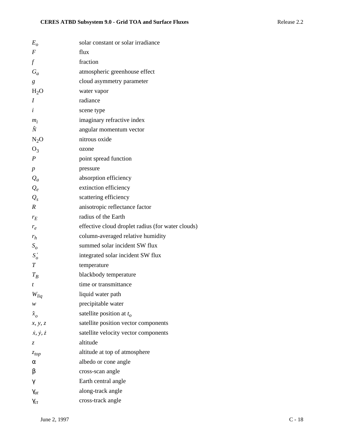| $E_{\alpha}$                | solar constant or solar irradiance                |
|-----------------------------|---------------------------------------------------|
| $\overline{F}$              | flux                                              |
| $\mathcal{f}$               | fraction                                          |
| $G_a$                       | atmospheric greenhouse effect                     |
| g                           | cloud asymmetry parameter                         |
| $H_2O$                      | water vapor                                       |
| I                           | radiance                                          |
| i                           | scene type                                        |
| $m_i$                       | imaginary refractive index                        |
| Ñ                           | angular momentum vector                           |
| $N_2O$                      | nitrous oxide                                     |
| $O_3$                       | ozone                                             |
| $\boldsymbol{P}$            | point spread function                             |
| $\boldsymbol{p}$            | pressure                                          |
| $Q_a$                       | absorption efficiency                             |
| $Q_e$                       | extinction efficiency                             |
| $Q_{s}$                     | scattering efficiency                             |
| $\boldsymbol{R}$            | anisotropic reflectance factor                    |
| $r_E$                       | radius of the Earth                               |
| $r_e$                       | effective cloud droplet radius (for water clouds) |
| $r_h$                       | column-averaged relative humidity                 |
| $S_{\scriptscriptstyle O}$  | summed solar incident SW flux                     |
| $S'_{o}$                    | integrated solar incident SW flux                 |
| $\boldsymbol{T}$            | temperature                                       |
| $T_R$                       | blackbody temperature                             |
| t                           | time or transmittance                             |
| $W_{liq}$                   | liquid water path                                 |
| w                           | precipitable water                                |
| $\hat{x}_o$                 | satellite position at $t_o$                       |
| x, y, z                     | satellite position vector components              |
| $\dot{x}, \dot{y}, \dot{z}$ | satellite velocity vector components              |
| Z.                          | altitude                                          |
| $z_{top}$                   | altitude at top of atmosphere                     |
| α                           | albedo or cone angle                              |
| β                           | cross-scan angle                                  |
| γ                           | Earth central angle                               |
| $\gamma_{at}$               | along-track angle                                 |
| $\gamma_{ct}$               | cross-track angle                                 |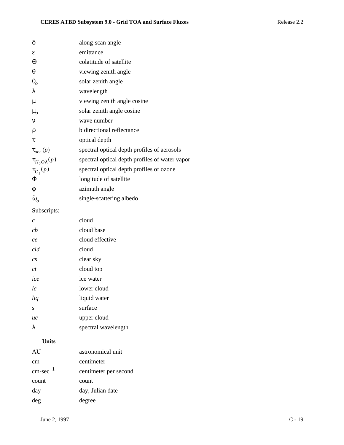| δ                       | along-scan angle                               |
|-------------------------|------------------------------------------------|
| $\boldsymbol{\epsilon}$ | emittance                                      |
| $\Theta$                | colatitude of satellite                        |
| θ                       | viewing zenith angle                           |
| $\theta_o$              | solar zenith angle                             |
| λ                       | wavelength                                     |
| μ                       | viewing zenith angle cosine                    |
| $\mu_{o}$               | solar zenith angle cosine                      |
| ν                       | wave number                                    |
| $\rho$                  | bidirectional reflectance                      |
| τ                       | optical depth                                  |
| $\tau_{aer}(p)$         | spectral optical depth profiles of aerosols    |
| $\tau_{H_2O\lambda}(p)$ | spectral optical depth profiles of water vapor |
| $\tau_{\text{O}_3}(p)$  | spectral optical depth profiles of ozone       |
| Φ                       | longitude of satellite                         |
| φ                       | azimuth angle                                  |
| $\tilde{\omega}_o$      | single-scattering albedo                       |
| Subscripts:             |                                                |
| $\mathcal{C}_{0}^{0}$   | cloud                                          |
| cb                      | cloud base                                     |
| ce                      | cloud effective                                |
| cld                     | cloud                                          |
| cs                      | clear sky                                      |
| ct                      | cloud top                                      |
| ice                     | ice water                                      |
| lc                      | lower cloud                                    |
| lig                     | liquid water                                   |
| S                       | surface                                        |
| uc                      | upper cloud                                    |
| λ                       | spectral wavelength                            |
| <b>Units</b>            |                                                |
| AU                      | astronomical unit                              |
| cm                      | centimeter                                     |
| $cm\text{-}sec^{-1}$    | centimeter per second                          |
| count                   | count                                          |
| day                     | day, Julian date                               |
| deg                     | degree                                         |